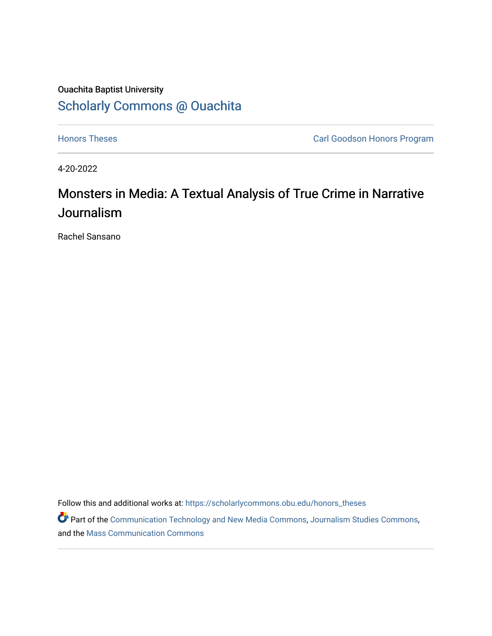## Ouachita Baptist University [Scholarly Commons @ Ouachita](https://scholarlycommons.obu.edu/)

**[Honors Theses](https://scholarlycommons.obu.edu/honors_theses) Carl Goodson Honors Program** 

4-20-2022

# Monsters in Media: A Textual Analysis of True Crime in Narrative Journalism

Rachel Sansano

Follow this and additional works at: [https://scholarlycommons.obu.edu/honors\\_theses](https://scholarlycommons.obu.edu/honors_theses?utm_source=scholarlycommons.obu.edu%2Fhonors_theses%2F835&utm_medium=PDF&utm_campaign=PDFCoverPages) 

Part of the [Communication Technology and New Media Commons,](http://network.bepress.com/hgg/discipline/327?utm_source=scholarlycommons.obu.edu%2Fhonors_theses%2F835&utm_medium=PDF&utm_campaign=PDFCoverPages) [Journalism Studies Commons](http://network.bepress.com/hgg/discipline/333?utm_source=scholarlycommons.obu.edu%2Fhonors_theses%2F835&utm_medium=PDF&utm_campaign=PDFCoverPages), and the [Mass Communication Commons](http://network.bepress.com/hgg/discipline/334?utm_source=scholarlycommons.obu.edu%2Fhonors_theses%2F835&utm_medium=PDF&utm_campaign=PDFCoverPages)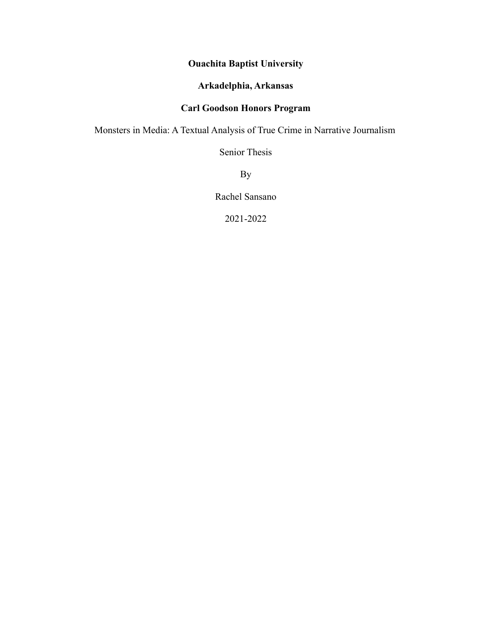## **Ouachita Baptist University**

## **Arkadelphia, Arkansas**

## **Carl Goodson Honors Program**

Monsters in Media: A Textual Analysis of True Crime in Narrative Journalism

Senior Thesis

By

Rachel Sansano

2021-2022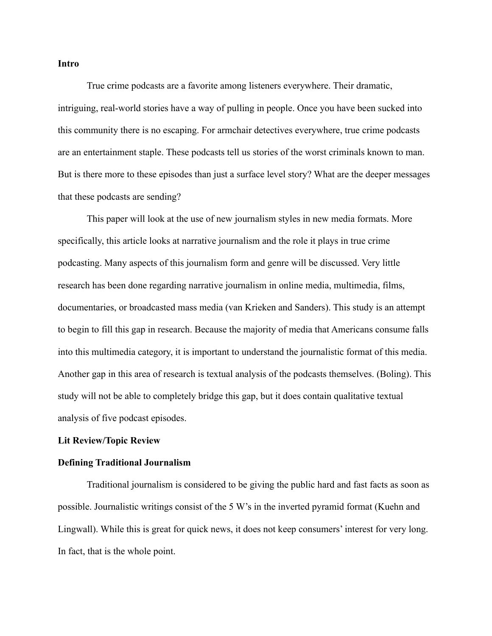#### **Intro**

True crime podcasts are a favorite among listeners everywhere. Their dramatic, intriguing, real-world stories have a way of pulling in people. Once you have been sucked into this community there is no escaping. For armchair detectives everywhere, true crime podcasts are an entertainment staple. These podcasts tell us stories of the worst criminals known to man. But is there more to these episodes than just a surface level story? What are the deeper messages that these podcasts are sending?

This paper will look at the use of new journalism styles in new media formats. More specifically, this article looks at narrative journalism and the role it plays in true crime podcasting. Many aspects of this journalism form and genre will be discussed. Very little research has been done regarding narrative journalism in online media, multimedia, films, documentaries, or broadcasted mass media (van Krieken and Sanders). This study is an attempt to begin to fill this gap in research. Because the majority of media that Americans consume falls into this multimedia category, it is important to understand the journalistic format of this media. Another gap in this area of research is textual analysis of the podcasts themselves. (Boling). This study will not be able to completely bridge this gap, but it does contain qualitative textual analysis of five podcast episodes.

#### **Lit Review/Topic Review**

#### **Defining Traditional Journalism**

Traditional journalism is considered to be giving the public hard and fast facts as soon as possible. Journalistic writings consist of the 5 W's in the inverted pyramid format (Kuehn and Lingwall). While this is great for quick news, it does not keep consumers' interest for very long. In fact, that is the whole point.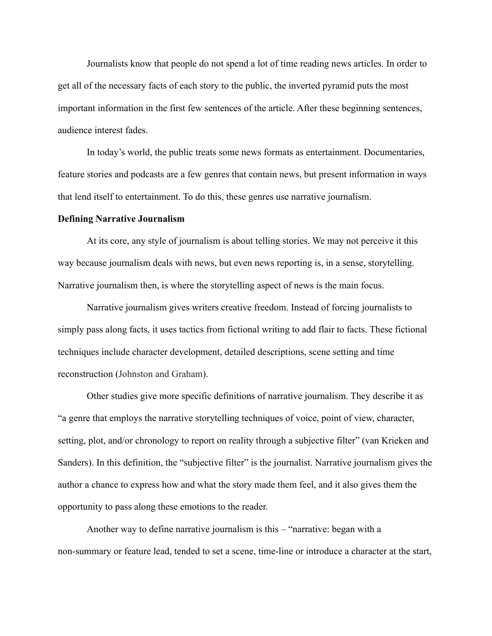Journalists know that people do not spend a lot of time reading news articles. In order to get all of the necessary facts of each story to the public, the inverted pyramid puts the most important information in the first few sentences of the article. After these beginning sentences, audience interest fades.

In today's world, the public treats some news formats as entertainment. Documentaries, feature stories and podcasts are a few genres that contain news, but present information in ways that lend itself to entertainment. To do this, these genres use narrative journalism.

#### **Defining Narrative Journalism**

At its core, any style of journalism is about telling stories. We may not perceive it this way because journalism deals with news, but even news reporting is, in a sense, storytelling. Narrative journalism then, is where the storytelling aspect of news is the main focus.

Narrative journalism gives writers creative freedom. Instead of forcing journalists to simply pass along facts, it uses tactics from fictional writing to add flair to facts. These fictional techniques include character development, detailed descriptions, scene setting and time reconstruction (Johnston and Graham).

Other studies give more specific definitions of narrative journalism. They describe it as "a genre that employs the narrative storytelling techniques of voice, point of view, character, setting, plot, and/or chronology to report on reality through a subjective filter" (van Krieken and Sanders). In this definition, the "subjective filter" is the journalist. Narrative journalism gives the author a chance to express how and what the story made them feel, and it also gives them the opportunity to pass along these emotions to the reader.

Another way to define narrative journalism is this – "narrative: began with a non-summary or feature lead, tended to set a scene, time-line or introduce a character at the start,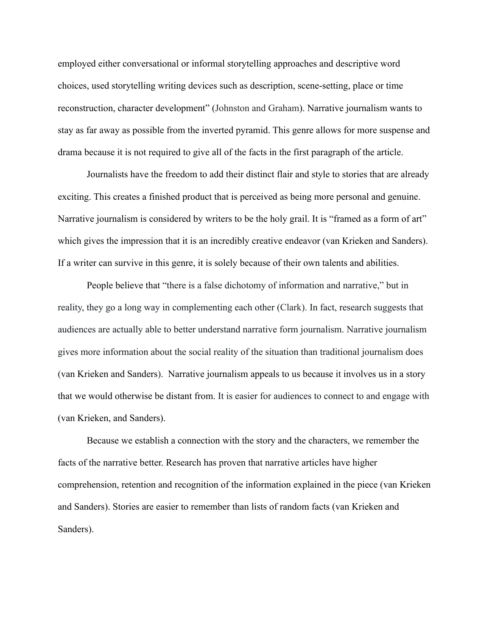employed either conversational or informal storytelling approaches and descriptive word choices, used storytelling writing devices such as description, scene-setting, place or time reconstruction, character development" (Johnston and Graham). Narrative journalism wants to stay as far away as possible from the inverted pyramid. This genre allows for more suspense and drama because it is not required to give all of the facts in the first paragraph of the article.

Journalists have the freedom to add their distinct flair and style to stories that are already exciting. This creates a finished product that is perceived as being more personal and genuine. Narrative journalism is considered by writers to be the holy grail. It is "framed as a form of art" which gives the impression that it is an incredibly creative endeavor (van Krieken and Sanders). If a writer can survive in this genre, it is solely because of their own talents and abilities.

People believe that "there is a false dichotomy of information and narrative," but in reality, they go a long way in complementing each other (Clark). In fact, research suggests that audiences are actually able to better understand narrative form journalism. Narrative journalism gives more information about the social reality of the situation than traditional journalism does (van Krieken and Sanders). Narrative journalism appeals to us because it involves us in a story that we would otherwise be distant from. It is easier for audiences to connect to and engage with (van Krieken, and Sanders).

Because we establish a connection with the story and the characters, we remember the facts of the narrative better. Research has proven that narrative articles have higher comprehension, retention and recognition of the information explained in the piece (van Krieken and Sanders). Stories are easier to remember than lists of random facts (van Krieken and Sanders).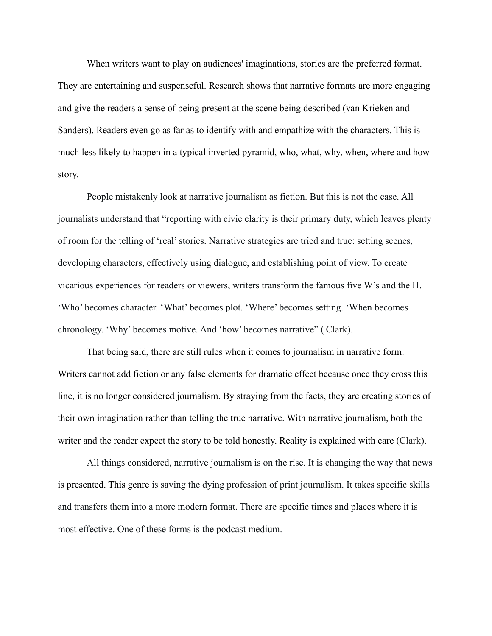When writers want to play on audiences' imaginations, stories are the preferred format. They are entertaining and suspenseful. Research shows that narrative formats are more engaging and give the readers a sense of being present at the scene being described (van Krieken and Sanders). Readers even go as far as to identify with and empathize with the characters. This is much less likely to happen in a typical inverted pyramid, who, what, why, when, where and how story.

People mistakenly look at narrative journalism as fiction. But this is not the case. All journalists understand that "reporting with civic clarity is their primary duty, which leaves plenty of room for the telling of 'real' stories. Narrative strategies are tried and true: setting scenes, developing characters, effectively using dialogue, and establishing point of view. To create vicarious experiences for readers or viewers, writers transform the famous five W's and the H. 'Who' becomes character. 'What' becomes plot. 'Where' becomes setting. 'When becomes chronology. 'Why' becomes motive. And 'how' becomes narrative" ( Clark).

That being said, there are still rules when it comes to journalism in narrative form. Writers cannot add fiction or any false elements for dramatic effect because once they cross this line, it is no longer considered journalism. By straying from the facts, they are creating stories of their own imagination rather than telling the true narrative. With narrative journalism, both the writer and the reader expect the story to be told honestly. Reality is explained with care (Clark).

All things considered, narrative journalism is on the rise. It is changing the way that news is presented. This genre is saving the dying profession of print journalism. It takes specific skills and transfers them into a more modern format. There are specific times and places where it is most effective. One of these forms is the podcast medium.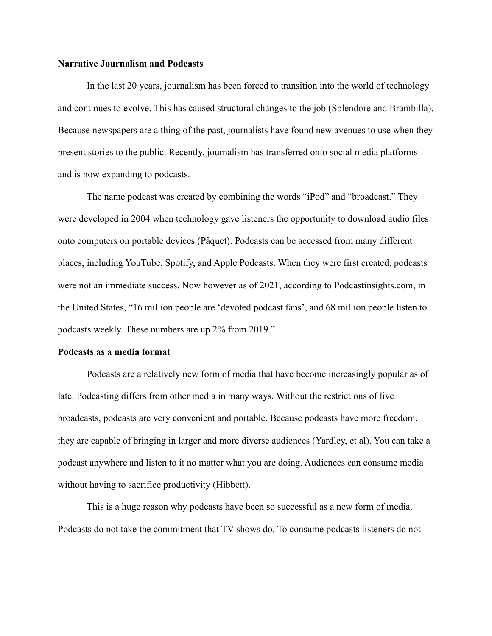#### **Narrative Journalism and Podcasts**

In the last 20 years, journalism has been forced to transition into the world of technology and continues to evolve. This has caused structural changes to the job (Splendore and Brambilla). Because newspapers are a thing of the past, journalists have found new avenues to use when they present stories to the public. Recently, journalism has transferred onto social media platforms and is now expanding to podcasts.

The name podcast was created by combining the words "iPod" and "broadcast." They were developed in 2004 when technology gave listeners the opportunity to download audio files onto computers on portable devices (Pâquet). Podcasts can be accessed from many different places, including YouTube, Spotify, and Apple Podcasts. When they were first created, podcasts were not an immediate success. Now however as of 2021, according to Podcastinsights.com, in the United States, "16 million people are 'devoted podcast fans', and 68 million people listen to podcasts weekly. These numbers are up 2% from 2019."

#### **Podcasts as a media format**

Podcasts are a relatively new form of media that have become increasingly popular as of late. Podcasting differs from other media in many ways. Without the restrictions of live broadcasts, podcasts are very convenient and portable. Because podcasts have more freedom, they are capable of bringing in larger and more diverse audiences (Yardley, et al). You can take a podcast anywhere and listen to it no matter what you are doing. Audiences can consume media without having to sacrifice productivity (Hibbett).

This is a huge reason why podcasts have been so successful as a new form of media. Podcasts do not take the commitment that TV shows do. To consume podcasts listeners do not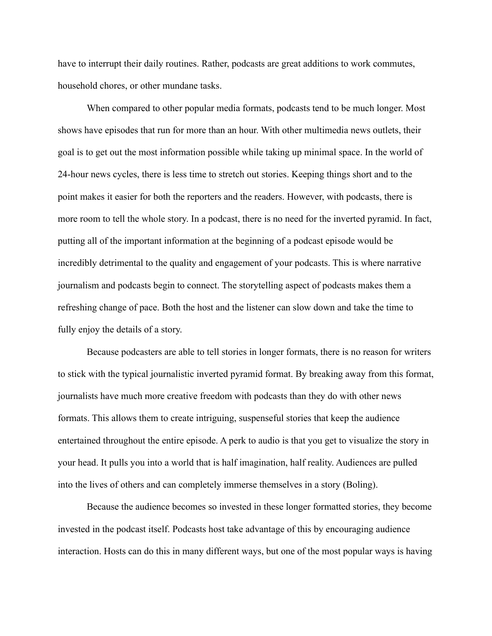have to interrupt their daily routines. Rather, podcasts are great additions to work commutes, household chores, or other mundane tasks.

When compared to other popular media formats, podcasts tend to be much longer. Most shows have episodes that run for more than an hour. With other multimedia news outlets, their goal is to get out the most information possible while taking up minimal space. In the world of 24-hour news cycles, there is less time to stretch out stories. Keeping things short and to the point makes it easier for both the reporters and the readers. However, with podcasts, there is more room to tell the whole story. In a podcast, there is no need for the inverted pyramid. In fact, putting all of the important information at the beginning of a podcast episode would be incredibly detrimental to the quality and engagement of your podcasts. This is where narrative journalism and podcasts begin to connect. The storytelling aspect of podcasts makes them a refreshing change of pace. Both the host and the listener can slow down and take the time to fully enjoy the details of a story.

Because podcasters are able to tell stories in longer formats, there is no reason for writers to stick with the typical journalistic inverted pyramid format. By breaking away from this format, journalists have much more creative freedom with podcasts than they do with other news formats. This allows them to create intriguing, suspenseful stories that keep the audience entertained throughout the entire episode. A perk to audio is that you get to visualize the story in your head. It pulls you into a world that is half imagination, half reality. Audiences are pulled into the lives of others and can completely immerse themselves in a story (Boling).

Because the audience becomes so invested in these longer formatted stories, they become invested in the podcast itself. Podcasts host take advantage of this by encouraging audience interaction. Hosts can do this in many different ways, but one of the most popular ways is having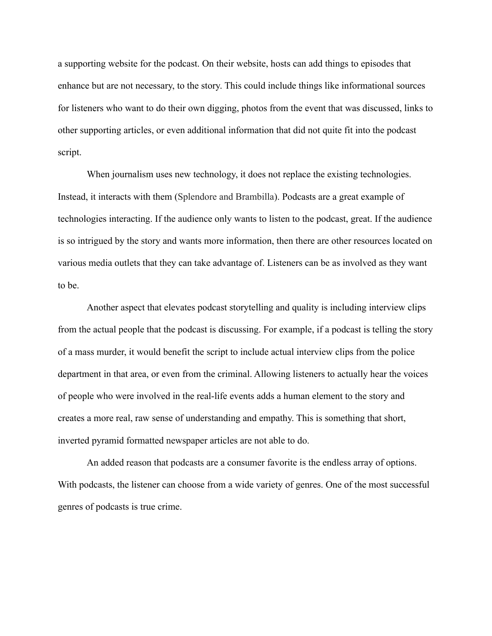a supporting website for the podcast. On their website, hosts can add things to episodes that enhance but are not necessary, to the story. This could include things like informational sources for listeners who want to do their own digging, photos from the event that was discussed, links to other supporting articles, or even additional information that did not quite fit into the podcast script.

When journalism uses new technology, it does not replace the existing technologies. Instead, it interacts with them (Splendore and Brambilla). Podcasts are a great example of technologies interacting. If the audience only wants to listen to the podcast, great. If the audience is so intrigued by the story and wants more information, then there are other resources located on various media outlets that they can take advantage of. Listeners can be as involved as they want to be.

Another aspect that elevates podcast storytelling and quality is including interview clips from the actual people that the podcast is discussing. For example, if a podcast is telling the story of a mass murder, it would benefit the script to include actual interview clips from the police department in that area, or even from the criminal. Allowing listeners to actually hear the voices of people who were involved in the real-life events adds a human element to the story and creates a more real, raw sense of understanding and empathy. This is something that short, inverted pyramid formatted newspaper articles are not able to do.

An added reason that podcasts are a consumer favorite is the endless array of options. With podcasts, the listener can choose from a wide variety of genres. One of the most successful genres of podcasts is true crime.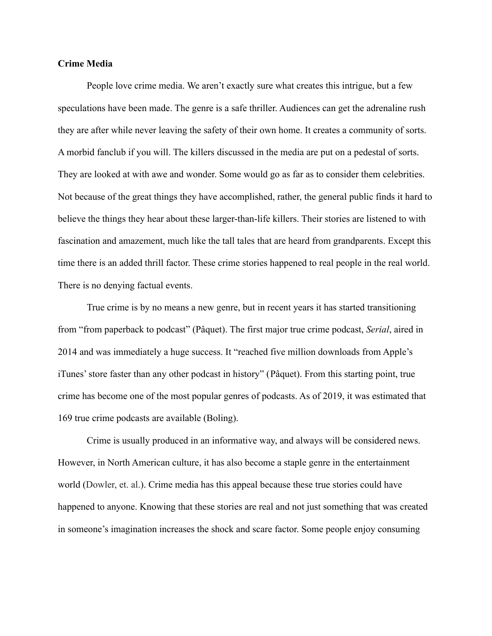#### **Crime Media**

People love crime media. We aren't exactly sure what creates this intrigue, but a few speculations have been made. The genre is a safe thriller. Audiences can get the adrenaline rush they are after while never leaving the safety of their own home. It creates a community of sorts. A morbid fanclub if you will. The killers discussed in the media are put on a pedestal of sorts. They are looked at with awe and wonder. Some would go as far as to consider them celebrities. Not because of the great things they have accomplished, rather, the general public finds it hard to believe the things they hear about these larger-than-life killers. Their stories are listened to with fascination and amazement, much like the tall tales that are heard from grandparents. Except this time there is an added thrill factor. These crime stories happened to real people in the real world. There is no denying factual events.

True crime is by no means a new genre, but in recent years it has started transitioning from "from paperback to podcast" (Pâquet). The first major true crime podcast, *Serial*, aired in 2014 and was immediately a huge success. It "reached five million downloads from Apple's iTunes' store faster than any other podcast in history" (Pâquet). From this starting point, true crime has become one of the most popular genres of podcasts. As of 2019, it was estimated that 169 true crime podcasts are available (Boling).

Crime is usually produced in an informative way, and always will be considered news. However, in North American culture, it has also become a staple genre in the entertainment world (Dowler, et. al.). Crime media has this appeal because these true stories could have happened to anyone. Knowing that these stories are real and not just something that was created in someone's imagination increases the shock and scare factor. Some people enjoy consuming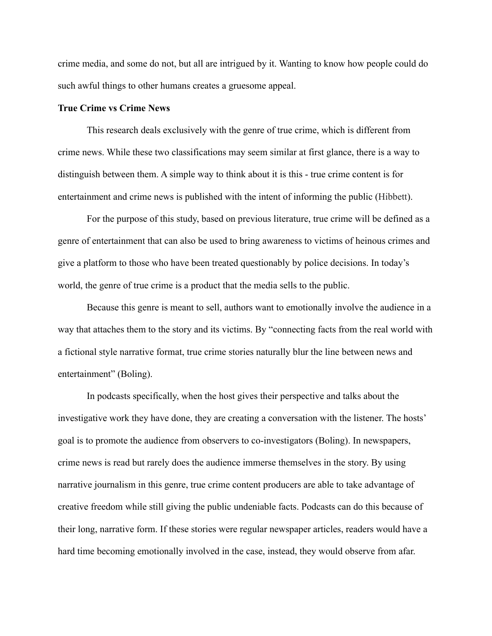crime media, and some do not, but all are intrigued by it. Wanting to know how people could do such awful things to other humans creates a gruesome appeal.

#### **True Crime vs Crime News**

This research deals exclusively with the genre of true crime, which is different from crime news. While these two classifications may seem similar at first glance, there is a way to distinguish between them. A simple way to think about it is this - true crime content is for entertainment and crime news is published with the intent of informing the public (Hibbett).

For the purpose of this study, based on previous literature, true crime will be defined as a genre of entertainment that can also be used to bring awareness to victims of heinous crimes and give a platform to those who have been treated questionably by police decisions. In today's world, the genre of true crime is a product that the media sells to the public.

Because this genre is meant to sell, authors want to emotionally involve the audience in a way that attaches them to the story and its victims. By "connecting facts from the real world with a fictional style narrative format, true crime stories naturally blur the line between news and entertainment" (Boling).

In podcasts specifically, when the host gives their perspective and talks about the investigative work they have done, they are creating a conversation with the listener. The hosts' goal is to promote the audience from observers to co-investigators (Boling). In newspapers, crime news is read but rarely does the audience immerse themselves in the story. By using narrative journalism in this genre, true crime content producers are able to take advantage of creative freedom while still giving the public undeniable facts. Podcasts can do this because of their long, narrative form. If these stories were regular newspaper articles, readers would have a hard time becoming emotionally involved in the case, instead, they would observe from afar.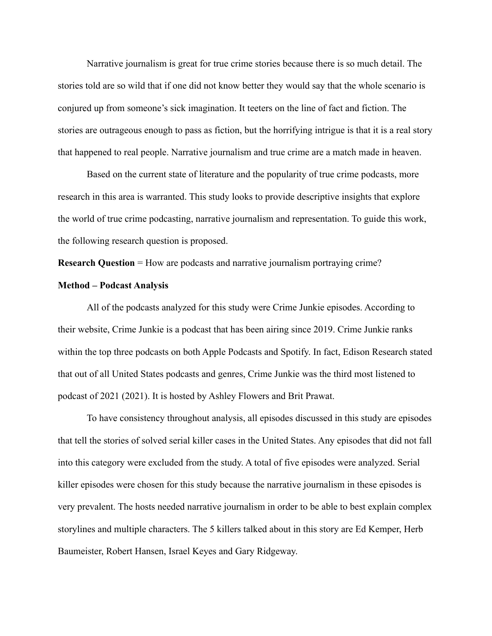Narrative journalism is great for true crime stories because there is so much detail. The stories told are so wild that if one did not know better they would say that the whole scenario is conjured up from someone's sick imagination. It teeters on the line of fact and fiction. The stories are outrageous enough to pass as fiction, but the horrifying intrigue is that it is a real story that happened to real people. Narrative journalism and true crime are a match made in heaven.

Based on the current state of literature and the popularity of true crime podcasts, more research in this area is warranted. This study looks to provide descriptive insights that explore the world of true crime podcasting, narrative journalism and representation. To guide this work, the following research question is proposed.

**Research Question** = How are podcasts and narrative journalism portraying crime?

#### **Method – Podcast Analysis**

All of the podcasts analyzed for this study were Crime Junkie episodes. According to their website, Crime Junkie is a podcast that has been airing since 2019. Crime Junkie ranks within the top three podcasts on both Apple Podcasts and Spotify. In fact, Edison Research stated that out of all United States podcasts and genres, Crime Junkie was the third most listened to podcast of 2021 (2021). It is hosted by Ashley Flowers and Brit Prawat.

To have consistency throughout analysis, all episodes discussed in this study are episodes that tell the stories of solved serial killer cases in the United States. Any episodes that did not fall into this category were excluded from the study. A total of five episodes were analyzed. Serial killer episodes were chosen for this study because the narrative journalism in these episodes is very prevalent. The hosts needed narrative journalism in order to be able to best explain complex storylines and multiple characters. The 5 killers talked about in this story are Ed Kemper, Herb Baumeister, Robert Hansen, Israel Keyes and Gary Ridgeway.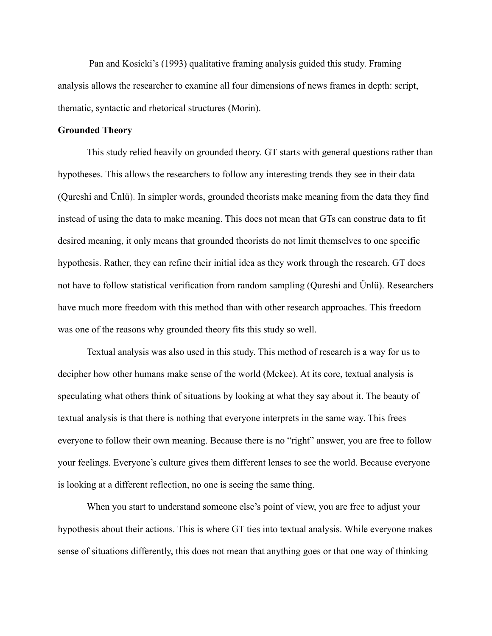Pan and Kosicki's (1993) qualitative framing analysis guided this study. Framing analysis allows the researcher to examine all four dimensions of news frames in depth: script, thematic, syntactic and rhetorical structures (Morin).

#### **Grounded Theory**

This study relied heavily on grounded theory. GT starts with general questions rather than hypotheses. This allows the researchers to follow any interesting trends they see in their data (Qureshi and Ünlü). In simpler words, grounded theorists make meaning from the data they find instead of using the data to make meaning. This does not mean that GTs can construe data to fit desired meaning, it only means that grounded theorists do not limit themselves to one specific hypothesis. Rather, they can refine their initial idea as they work through the research. GT does not have to follow statistical verification from random sampling (Qureshi and Ünlü). Researchers have much more freedom with this method than with other research approaches. This freedom was one of the reasons why grounded theory fits this study so well.

Textual analysis was also used in this study. This method of research is a way for us to decipher how other humans make sense of the world (Mckee). At its core, textual analysis is speculating what others think of situations by looking at what they say about it. The beauty of textual analysis is that there is nothing that everyone interprets in the same way. This frees everyone to follow their own meaning. Because there is no "right" answer, you are free to follow your feelings. Everyone's culture gives them different lenses to see the world. Because everyone is looking at a different reflection, no one is seeing the same thing.

When you start to understand someone else's point of view, you are free to adjust your hypothesis about their actions. This is where GT ties into textual analysis. While everyone makes sense of situations differently, this does not mean that anything goes or that one way of thinking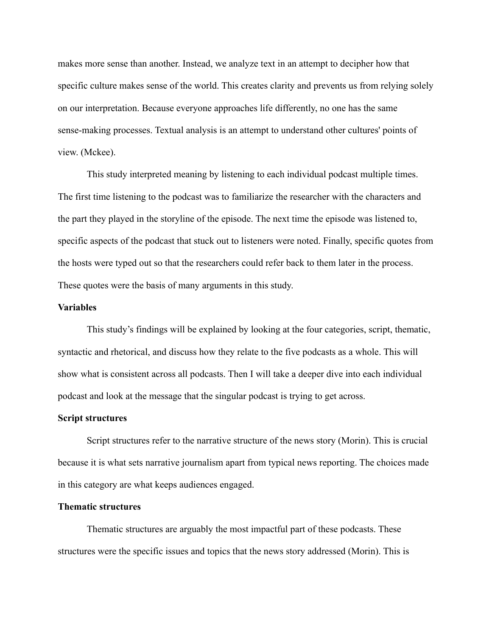makes more sense than another. Instead, we analyze text in an attempt to decipher how that specific culture makes sense of the world. This creates clarity and prevents us from relying solely on our interpretation. Because everyone approaches life differently, no one has the same sense-making processes. Textual analysis is an attempt to understand other cultures' points of view. (Mckee).

This study interpreted meaning by listening to each individual podcast multiple times. The first time listening to the podcast was to familiarize the researcher with the characters and the part they played in the storyline of the episode. The next time the episode was listened to, specific aspects of the podcast that stuck out to listeners were noted. Finally, specific quotes from the hosts were typed out so that the researchers could refer back to them later in the process. These quotes were the basis of many arguments in this study.

#### **Variables**

This study's findings will be explained by looking at the four categories, script, thematic, syntactic and rhetorical, and discuss how they relate to the five podcasts as a whole. This will show what is consistent across all podcasts. Then I will take a deeper dive into each individual podcast and look at the message that the singular podcast is trying to get across.

#### **Script structures**

Script structures refer to the narrative structure of the news story (Morin). This is crucial because it is what sets narrative journalism apart from typical news reporting. The choices made in this category are what keeps audiences engaged.

#### **Thematic structures**

Thematic structures are arguably the most impactful part of these podcasts. These structures were the specific issues and topics that the news story addressed (Morin). This is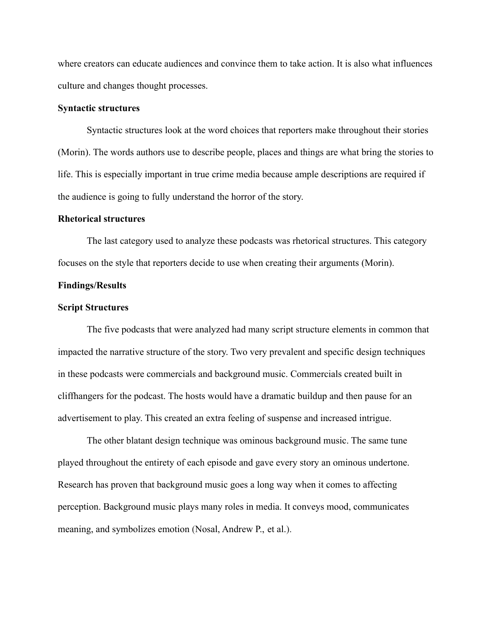where creators can educate audiences and convince them to take action. It is also what influences culture and changes thought processes.

#### **Syntactic structures**

Syntactic structures look at the word choices that reporters make throughout their stories (Morin). The words authors use to describe people, places and things are what bring the stories to life. This is especially important in true crime media because ample descriptions are required if the audience is going to fully understand the horror of the story.

#### **Rhetorical structures**

The last category used to analyze these podcasts was rhetorical structures. This category focuses on the style that reporters decide to use when creating their arguments (Morin).

#### **Findings/Results**

#### **Script Structures**

The five podcasts that were analyzed had many script structure elements in common that impacted the narrative structure of the story. Two very prevalent and specific design techniques in these podcasts were commercials and background music. Commercials created built in cliffhangers for the podcast. The hosts would have a dramatic buildup and then pause for an advertisement to play. This created an extra feeling of suspense and increased intrigue.

The other blatant design technique was ominous background music. The same tune played throughout the entirety of each episode and gave every story an ominous undertone. Research has proven that background music goes a long way when it comes to affecting perception. Background music plays many roles in media. It conveys mood, communicates meaning, and symbolizes emotion (Nosal, Andrew P., et al.).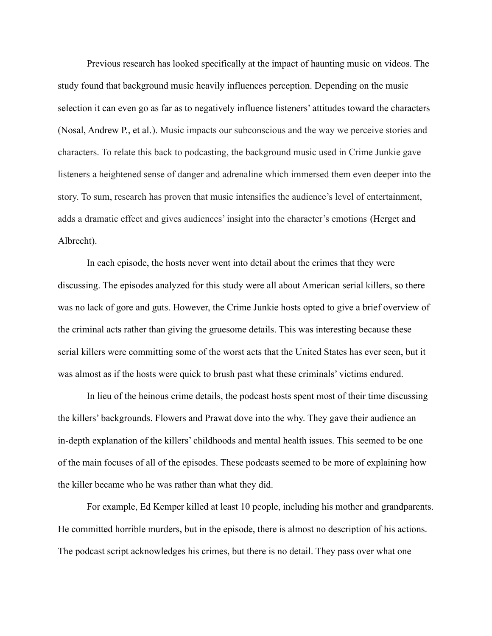Previous research has looked specifically at the impact of haunting music on videos. The study found that background music heavily influences perception. Depending on the music selection it can even go as far as to negatively influence listeners' attitudes toward the characters (Nosal, Andrew P., et al.). Music impacts our subconscious and the way we perceive stories and characters. To relate this back to podcasting, the background music used in Crime Junkie gave listeners a heightened sense of danger and adrenaline which immersed them even deeper into the story. To sum, research has proven that music intensifies the audience's level of entertainment, adds a dramatic effect and gives audiences' insight into the character's emotions (Herget and Albrecht).

In each episode, the hosts never went into detail about the crimes that they were discussing. The episodes analyzed for this study were all about American serial killers, so there was no lack of gore and guts. However, the Crime Junkie hosts opted to give a brief overview of the criminal acts rather than giving the gruesome details. This was interesting because these serial killers were committing some of the worst acts that the United States has ever seen, but it was almost as if the hosts were quick to brush past what these criminals' victims endured.

In lieu of the heinous crime details, the podcast hosts spent most of their time discussing the killers' backgrounds. Flowers and Prawat dove into the why. They gave their audience an in-depth explanation of the killers' childhoods and mental health issues. This seemed to be one of the main focuses of all of the episodes. These podcasts seemed to be more of explaining how the killer became who he was rather than what they did.

For example, Ed Kemper killed at least 10 people, including his mother and grandparents. He committed horrible murders, but in the episode, there is almost no description of his actions. The podcast script acknowledges his crimes, but there is no detail. They pass over what one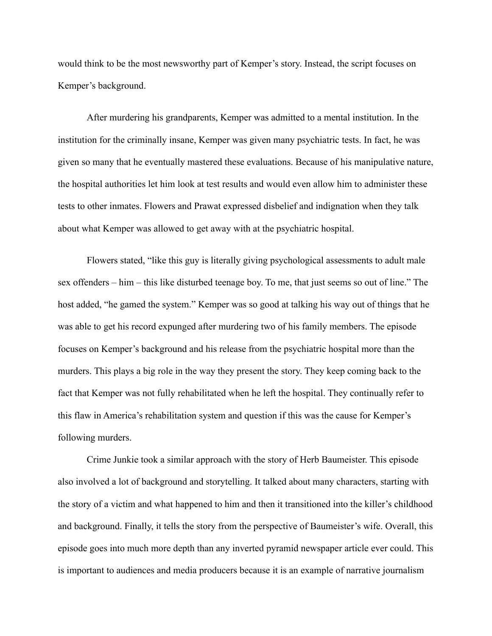would think to be the most newsworthy part of Kemper's story. Instead, the script focuses on Kemper's background.

After murdering his grandparents, Kemper was admitted to a mental institution. In the institution for the criminally insane, Kemper was given many psychiatric tests. In fact, he was given so many that he eventually mastered these evaluations. Because of his manipulative nature, the hospital authorities let him look at test results and would even allow him to administer these tests to other inmates. Flowers and Prawat expressed disbelief and indignation when they talk about what Kemper was allowed to get away with at the psychiatric hospital.

Flowers stated, "like this guy is literally giving psychological assessments to adult male sex offenders – him – this like disturbed teenage boy. To me, that just seems so out of line." The host added, "he gamed the system." Kemper was so good at talking his way out of things that he was able to get his record expunged after murdering two of his family members. The episode focuses on Kemper's background and his release from the psychiatric hospital more than the murders. This plays a big role in the way they present the story. They keep coming back to the fact that Kemper was not fully rehabilitated when he left the hospital. They continually refer to this flaw in America's rehabilitation system and question if this was the cause for Kemper's following murders.

Crime Junkie took a similar approach with the story of Herb Baumeister. This episode also involved a lot of background and storytelling. It talked about many characters, starting with the story of a victim and what happened to him and then it transitioned into the killer's childhood and background. Finally, it tells the story from the perspective of Baumeister's wife. Overall, this episode goes into much more depth than any inverted pyramid newspaper article ever could. This is important to audiences and media producers because it is an example of narrative journalism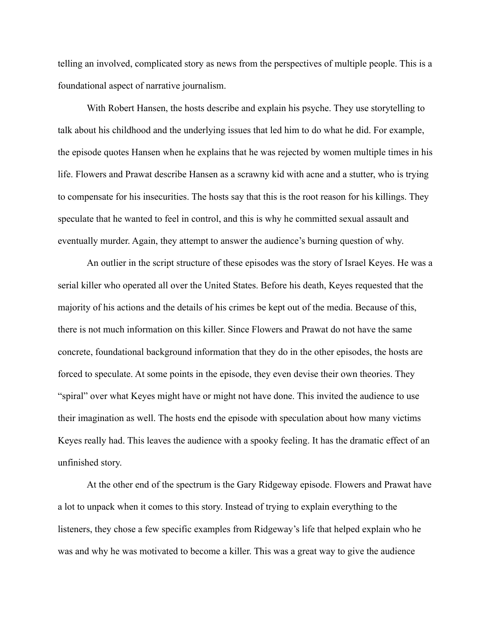telling an involved, complicated story as news from the perspectives of multiple people. This is a foundational aspect of narrative journalism.

With Robert Hansen, the hosts describe and explain his psyche. They use storytelling to talk about his childhood and the underlying issues that led him to do what he did. For example, the episode quotes Hansen when he explains that he was rejected by women multiple times in his life. Flowers and Prawat describe Hansen as a scrawny kid with acne and a stutter, who is trying to compensate for his insecurities. The hosts say that this is the root reason for his killings. They speculate that he wanted to feel in control, and this is why he committed sexual assault and eventually murder. Again, they attempt to answer the audience's burning question of why.

An outlier in the script structure of these episodes was the story of Israel Keyes. He was a serial killer who operated all over the United States. Before his death, Keyes requested that the majority of his actions and the details of his crimes be kept out of the media. Because of this, there is not much information on this killer. Since Flowers and Prawat do not have the same concrete, foundational background information that they do in the other episodes, the hosts are forced to speculate. At some points in the episode, they even devise their own theories. They "spiral" over what Keyes might have or might not have done. This invited the audience to use their imagination as well. The hosts end the episode with speculation about how many victims Keyes really had. This leaves the audience with a spooky feeling. It has the dramatic effect of an unfinished story.

At the other end of the spectrum is the Gary Ridgeway episode. Flowers and Prawat have a lot to unpack when it comes to this story. Instead of trying to explain everything to the listeners, they chose a few specific examples from Ridgeway's life that helped explain who he was and why he was motivated to become a killer. This was a great way to give the audience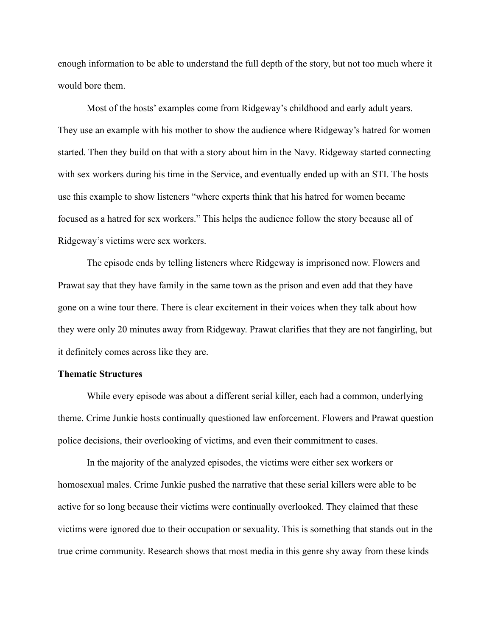enough information to be able to understand the full depth of the story, but not too much where it would bore them.

Most of the hosts' examples come from Ridgeway's childhood and early adult years. They use an example with his mother to show the audience where Ridgeway's hatred for women started. Then they build on that with a story about him in the Navy. Ridgeway started connecting with sex workers during his time in the Service, and eventually ended up with an STI. The hosts use this example to show listeners "where experts think that his hatred for women became focused as a hatred for sex workers." This helps the audience follow the story because all of Ridgeway's victims were sex workers.

The episode ends by telling listeners where Ridgeway is imprisoned now. Flowers and Prawat say that they have family in the same town as the prison and even add that they have gone on a wine tour there. There is clear excitement in their voices when they talk about how they were only 20 minutes away from Ridgeway. Prawat clarifies that they are not fangirling, but it definitely comes across like they are.

#### **Thematic Structures**

While every episode was about a different serial killer, each had a common, underlying theme. Crime Junkie hosts continually questioned law enforcement. Flowers and Prawat question police decisions, their overlooking of victims, and even their commitment to cases.

In the majority of the analyzed episodes, the victims were either sex workers or homosexual males. Crime Junkie pushed the narrative that these serial killers were able to be active for so long because their victims were continually overlooked. They claimed that these victims were ignored due to their occupation or sexuality. This is something that stands out in the true crime community. Research shows that most media in this genre shy away from these kinds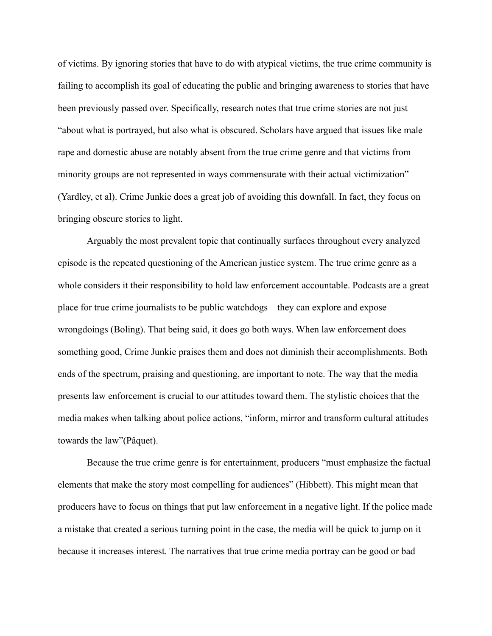of victims. By ignoring stories that have to do with atypical victims, the true crime community is failing to accomplish its goal of educating the public and bringing awareness to stories that have been previously passed over. Specifically, research notes that true crime stories are not just "about what is portrayed, but also what is obscured. Scholars have argued that issues like male rape and domestic abuse are notably absent from the true crime genre and that victims from minority groups are not represented in ways commensurate with their actual victimization" (Yardley, et al). Crime Junkie does a great job of avoiding this downfall. In fact, they focus on bringing obscure stories to light.

Arguably the most prevalent topic that continually surfaces throughout every analyzed episode is the repeated questioning of the American justice system. The true crime genre as a whole considers it their responsibility to hold law enforcement accountable. Podcasts are a great place for true crime journalists to be public watchdogs – they can explore and expose wrongdoings (Boling). That being said, it does go both ways. When law enforcement does something good, Crime Junkie praises them and does not diminish their accomplishments. Both ends of the spectrum, praising and questioning, are important to note. The way that the media presents law enforcement is crucial to our attitudes toward them. The stylistic choices that the media makes when talking about police actions, "inform, mirror and transform cultural attitudes towards the law"(Pâquet).

Because the true crime genre is for entertainment, producers "must emphasize the factual elements that make the story most compelling for audiences" (Hibbett). This might mean that producers have to focus on things that put law enforcement in a negative light. If the police made a mistake that created a serious turning point in the case, the media will be quick to jump on it because it increases interest. The narratives that true crime media portray can be good or bad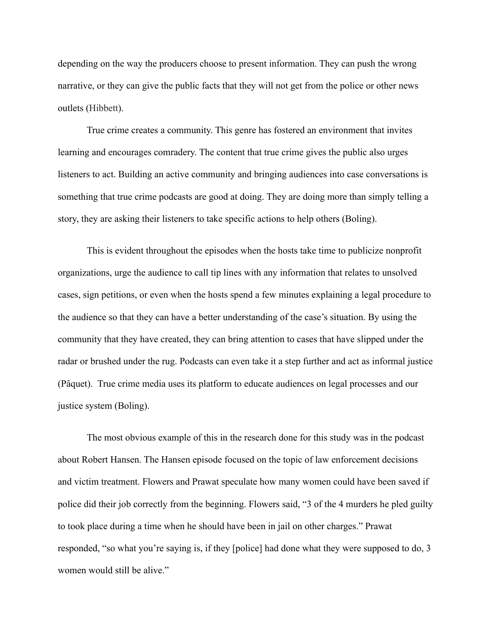depending on the way the producers choose to present information. They can push the wrong narrative, or they can give the public facts that they will not get from the police or other news outlets (Hibbett).

True crime creates a community. This genre has fostered an environment that invites learning and encourages comradery. The content that true crime gives the public also urges listeners to act. Building an active community and bringing audiences into case conversations is something that true crime podcasts are good at doing. They are doing more than simply telling a story, they are asking their listeners to take specific actions to help others (Boling).

This is evident throughout the episodes when the hosts take time to publicize nonprofit organizations, urge the audience to call tip lines with any information that relates to unsolved cases, sign petitions, or even when the hosts spend a few minutes explaining a legal procedure to the audience so that they can have a better understanding of the case's situation. By using the community that they have created, they can bring attention to cases that have slipped under the radar or brushed under the rug. Podcasts can even take it a step further and act as informal justice (Pâquet). True crime media uses its platform to educate audiences on legal processes and our justice system (Boling).

The most obvious example of this in the research done for this study was in the podcast about Robert Hansen. The Hansen episode focused on the topic of law enforcement decisions and victim treatment. Flowers and Prawat speculate how many women could have been saved if police did their job correctly from the beginning. Flowers said, "3 of the 4 murders he pled guilty to took place during a time when he should have been in jail on other charges." Prawat responded, "so what you're saying is, if they [police] had done what they were supposed to do, 3 women would still be alive."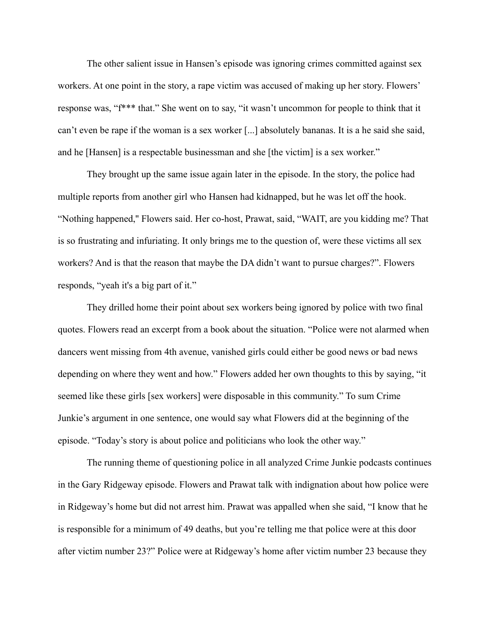The other salient issue in Hansen's episode was ignoring crimes committed against sex workers. At one point in the story, a rape victim was accused of making up her story. Flowers' response was, "f\*\*\* that." She went on to say, "it wasn't uncommon for people to think that it can't even be rape if the woman is a sex worker [...] absolutely bananas. It is a he said she said, and he [Hansen] is a respectable businessman and she [the victim] is a sex worker."

They brought up the same issue again later in the episode. In the story, the police had multiple reports from another girl who Hansen had kidnapped, but he was let off the hook. "Nothing happened,'' Flowers said. Her co-host, Prawat, said, "WAIT, are you kidding me? That is so frustrating and infuriating. It only brings me to the question of, were these victims all sex workers? And is that the reason that maybe the DA didn't want to pursue charges?". Flowers responds, "yeah it's a big part of it."

They drilled home their point about sex workers being ignored by police with two final quotes. Flowers read an excerpt from a book about the situation. "Police were not alarmed when dancers went missing from 4th avenue, vanished girls could either be good news or bad news depending on where they went and how." Flowers added her own thoughts to this by saying, "it seemed like these girls [sex workers] were disposable in this community." To sum Crime Junkie's argument in one sentence, one would say what Flowers did at the beginning of the episode. "Today's story is about police and politicians who look the other way."

The running theme of questioning police in all analyzed Crime Junkie podcasts continues in the Gary Ridgeway episode. Flowers and Prawat talk with indignation about how police were in Ridgeway's home but did not arrest him. Prawat was appalled when she said, "I know that he is responsible for a minimum of 49 deaths, but you're telling me that police were at this door after victim number 23?" Police were at Ridgeway's home after victim number 23 because they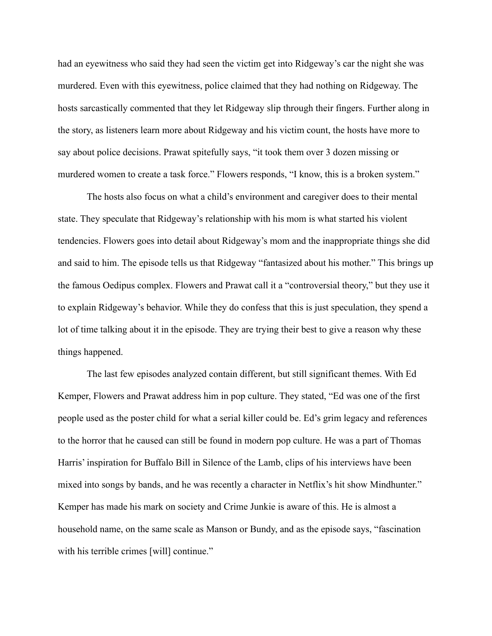had an eyewitness who said they had seen the victim get into Ridgeway's car the night she was murdered. Even with this eyewitness, police claimed that they had nothing on Ridgeway. The hosts sarcastically commented that they let Ridgeway slip through their fingers. Further along in the story, as listeners learn more about Ridgeway and his victim count, the hosts have more to say about police decisions. Prawat spitefully says, "it took them over 3 dozen missing or murdered women to create a task force." Flowers responds, "I know, this is a broken system."

The hosts also focus on what a child's environment and caregiver does to their mental state. They speculate that Ridgeway's relationship with his mom is what started his violent tendencies. Flowers goes into detail about Ridgeway's mom and the inappropriate things she did and said to him. The episode tells us that Ridgeway "fantasized about his mother." This brings up the famous Oedipus complex. Flowers and Prawat call it a "controversial theory," but they use it to explain Ridgeway's behavior. While they do confess that this is just speculation, they spend a lot of time talking about it in the episode. They are trying their best to give a reason why these things happened.

The last few episodes analyzed contain different, but still significant themes. With Ed Kemper, Flowers and Prawat address him in pop culture. They stated, "Ed was one of the first people used as the poster child for what a serial killer could be. Ed's grim legacy and references to the horror that he caused can still be found in modern pop culture. He was a part of Thomas Harris' inspiration for Buffalo Bill in Silence of the Lamb, clips of his interviews have been mixed into songs by bands, and he was recently a character in Netflix's hit show Mindhunter." Kemper has made his mark on society and Crime Junkie is aware of this. He is almost a household name, on the same scale as Manson or Bundy, and as the episode says, "fascination with his terrible crimes [will] continue."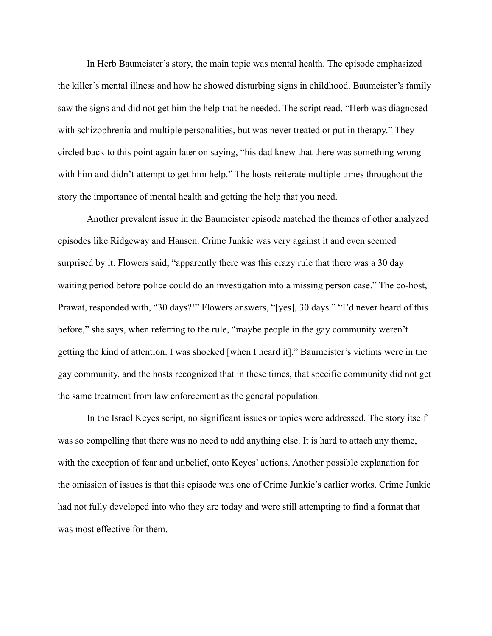In Herb Baumeister's story, the main topic was mental health. The episode emphasized the killer's mental illness and how he showed disturbing signs in childhood. Baumeister's family saw the signs and did not get him the help that he needed. The script read, "Herb was diagnosed with schizophrenia and multiple personalities, but was never treated or put in therapy." They circled back to this point again later on saying, "his dad knew that there was something wrong with him and didn't attempt to get him help." The hosts reiterate multiple times throughout the story the importance of mental health and getting the help that you need.

Another prevalent issue in the Baumeister episode matched the themes of other analyzed episodes like Ridgeway and Hansen. Crime Junkie was very against it and even seemed surprised by it. Flowers said, "apparently there was this crazy rule that there was a 30 day waiting period before police could do an investigation into a missing person case." The co-host, Prawat, responded with, "30 days?!" Flowers answers, "[yes], 30 days." "I'd never heard of this before," she says, when referring to the rule, "maybe people in the gay community weren't getting the kind of attention. I was shocked [when I heard it]." Baumeister's victims were in the gay community, and the hosts recognized that in these times, that specific community did not get the same treatment from law enforcement as the general population.

In the Israel Keyes script, no significant issues or topics were addressed. The story itself was so compelling that there was no need to add anything else. It is hard to attach any theme, with the exception of fear and unbelief, onto Keyes' actions. Another possible explanation for the omission of issues is that this episode was one of Crime Junkie's earlier works. Crime Junkie had not fully developed into who they are today and were still attempting to find a format that was most effective for them.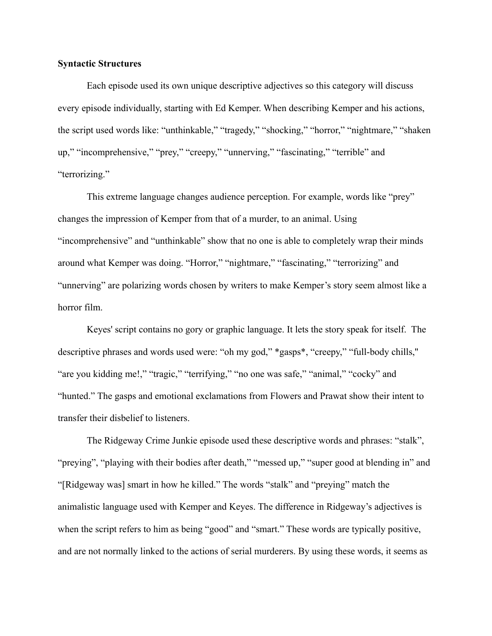#### **Syntactic Structures**

Each episode used its own unique descriptive adjectives so this category will discuss every episode individually, starting with Ed Kemper. When describing Kemper and his actions, the script used words like: "unthinkable," "tragedy," "shocking," "horror," "nightmare," "shaken up," "incomprehensive," "prey," "creepy," "unnerving," "fascinating," "terrible" and "terrorizing."

This extreme language changes audience perception. For example, words like "prey" changes the impression of Kemper from that of a murder, to an animal. Using "incomprehensive" and "unthinkable" show that no one is able to completely wrap their minds around what Kemper was doing. "Horror," "nightmare," "fascinating," "terrorizing" and "unnerving" are polarizing words chosen by writers to make Kemper's story seem almost like a horror film.

Keyes' script contains no gory or graphic language. It lets the story speak for itself. The descriptive phrases and words used were: "oh my god," \*gasps\*, "creepy," "full-body chills,'' "are you kidding me!," "tragic," "terrifying," "no one was safe," "animal," "cocky" and "hunted." The gasps and emotional exclamations from Flowers and Prawat show their intent to transfer their disbelief to listeners.

The Ridgeway Crime Junkie episode used these descriptive words and phrases: "stalk", "preying", "playing with their bodies after death," "messed up," "super good at blending in" and "[Ridgeway was] smart in how he killed." The words "stalk" and "preying" match the animalistic language used with Kemper and Keyes. The difference in Ridgeway's adjectives is when the script refers to him as being "good" and "smart." These words are typically positive, and are not normally linked to the actions of serial murderers. By using these words, it seems as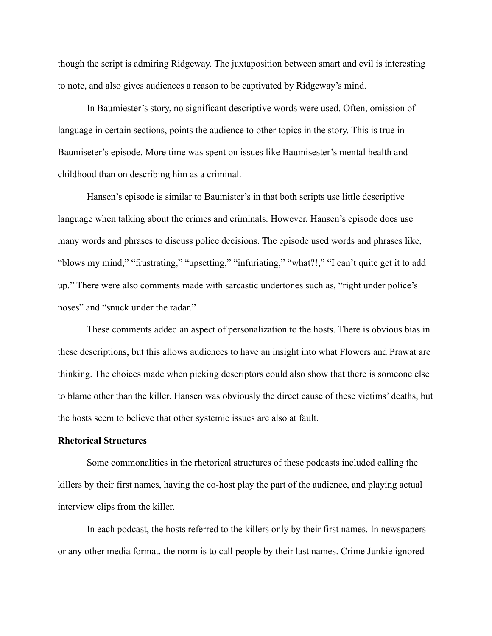though the script is admiring Ridgeway. The juxtaposition between smart and evil is interesting to note, and also gives audiences a reason to be captivated by Ridgeway's mind.

In Baumiester's story, no significant descriptive words were used. Often, omission of language in certain sections, points the audience to other topics in the story. This is true in Baumiseter's episode. More time was spent on issues like Baumisester's mental health and childhood than on describing him as a criminal.

Hansen's episode is similar to Baumister's in that both scripts use little descriptive language when talking about the crimes and criminals. However, Hansen's episode does use many words and phrases to discuss police decisions. The episode used words and phrases like, "blows my mind," "frustrating," "upsetting," "infuriating," "what?!," "I can't quite get it to add up." There were also comments made with sarcastic undertones such as, "right under police's noses" and "snuck under the radar."

These comments added an aspect of personalization to the hosts. There is obvious bias in these descriptions, but this allows audiences to have an insight into what Flowers and Prawat are thinking. The choices made when picking descriptors could also show that there is someone else to blame other than the killer. Hansen was obviously the direct cause of these victims' deaths, but the hosts seem to believe that other systemic issues are also at fault.

#### **Rhetorical Structures**

Some commonalities in the rhetorical structures of these podcasts included calling the killers by their first names, having the co-host play the part of the audience, and playing actual interview clips from the killer.

In each podcast, the hosts referred to the killers only by their first names. In newspapers or any other media format, the norm is to call people by their last names. Crime Junkie ignored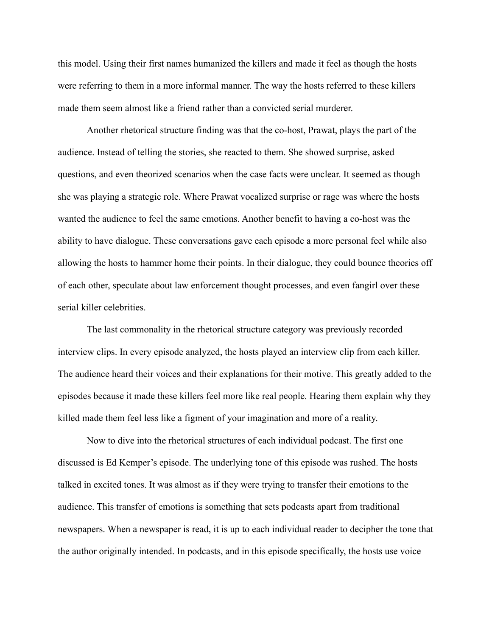this model. Using their first names humanized the killers and made it feel as though the hosts were referring to them in a more informal manner. The way the hosts referred to these killers made them seem almost like a friend rather than a convicted serial murderer.

Another rhetorical structure finding was that the co-host, Prawat, plays the part of the audience. Instead of telling the stories, she reacted to them. She showed surprise, asked questions, and even theorized scenarios when the case facts were unclear. It seemed as though she was playing a strategic role. Where Prawat vocalized surprise or rage was where the hosts wanted the audience to feel the same emotions. Another benefit to having a co-host was the ability to have dialogue. These conversations gave each episode a more personal feel while also allowing the hosts to hammer home their points. In their dialogue, they could bounce theories off of each other, speculate about law enforcement thought processes, and even fangirl over these serial killer celebrities.

The last commonality in the rhetorical structure category was previously recorded interview clips. In every episode analyzed, the hosts played an interview clip from each killer. The audience heard their voices and their explanations for their motive. This greatly added to the episodes because it made these killers feel more like real people. Hearing them explain why they killed made them feel less like a figment of your imagination and more of a reality.

Now to dive into the rhetorical structures of each individual podcast. The first one discussed is Ed Kemper's episode. The underlying tone of this episode was rushed. The hosts talked in excited tones. It was almost as if they were trying to transfer their emotions to the audience. This transfer of emotions is something that sets podcasts apart from traditional newspapers. When a newspaper is read, it is up to each individual reader to decipher the tone that the author originally intended. In podcasts, and in this episode specifically, the hosts use voice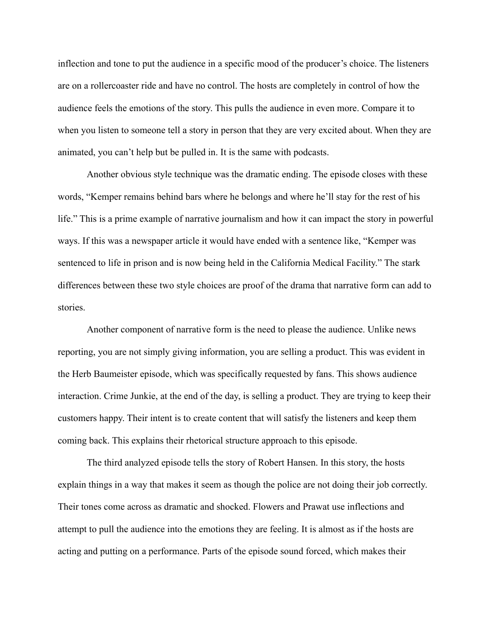inflection and tone to put the audience in a specific mood of the producer's choice. The listeners are on a rollercoaster ride and have no control. The hosts are completely in control of how the audience feels the emotions of the story. This pulls the audience in even more. Compare it to when you listen to someone tell a story in person that they are very excited about. When they are animated, you can't help but be pulled in. It is the same with podcasts.

Another obvious style technique was the dramatic ending. The episode closes with these words, "Kemper remains behind bars where he belongs and where he'll stay for the rest of his life." This is a prime example of narrative journalism and how it can impact the story in powerful ways. If this was a newspaper article it would have ended with a sentence like, "Kemper was sentenced to life in prison and is now being held in the California Medical Facility." The stark differences between these two style choices are proof of the drama that narrative form can add to stories.

Another component of narrative form is the need to please the audience. Unlike news reporting, you are not simply giving information, you are selling a product. This was evident in the Herb Baumeister episode, which was specifically requested by fans. This shows audience interaction. Crime Junkie, at the end of the day, is selling a product. They are trying to keep their customers happy. Their intent is to create content that will satisfy the listeners and keep them coming back. This explains their rhetorical structure approach to this episode.

The third analyzed episode tells the story of Robert Hansen. In this story, the hosts explain things in a way that makes it seem as though the police are not doing their job correctly. Their tones come across as dramatic and shocked. Flowers and Prawat use inflections and attempt to pull the audience into the emotions they are feeling. It is almost as if the hosts are acting and putting on a performance. Parts of the episode sound forced, which makes their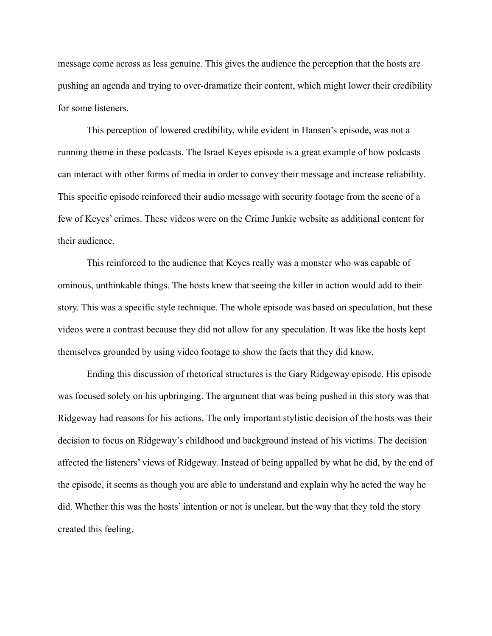message come across as less genuine. This gives the audience the perception that the hosts are pushing an agenda and trying to over-dramatize their content, which might lower their credibility for some listeners.

This perception of lowered credibility, while evident in Hansen's episode, was not a running theme in these podcasts. The Israel Keyes episode is a great example of how podcasts can interact with other forms of media in order to convey their message and increase reliability. This specific episode reinforced their audio message with security footage from the scene of a few of Keyes' crimes. These videos were on the Crime Junkie website as additional content for their audience.

This reinforced to the audience that Keyes really was a monster who was capable of ominous, unthinkable things. The hosts knew that seeing the killer in action would add to their story. This was a specific style technique. The whole episode was based on speculation, but these videos were a contrast because they did not allow for any speculation. It was like the hosts kept themselves grounded by using video footage to show the facts that they did know.

Ending this discussion of rhetorical structures is the Gary Ridgeway episode. His episode was focused solely on his upbringing. The argument that was being pushed in this story was that Ridgeway had reasons for his actions. The only important stylistic decision of the hosts was their decision to focus on Ridgeway's childhood and background instead of his victims. The decision affected the listeners' views of Ridgeway. Instead of being appalled by what he did, by the end of the episode, it seems as though you are able to understand and explain why he acted the way he did. Whether this was the hosts' intention or not is unclear, but the way that they told the story created this feeling.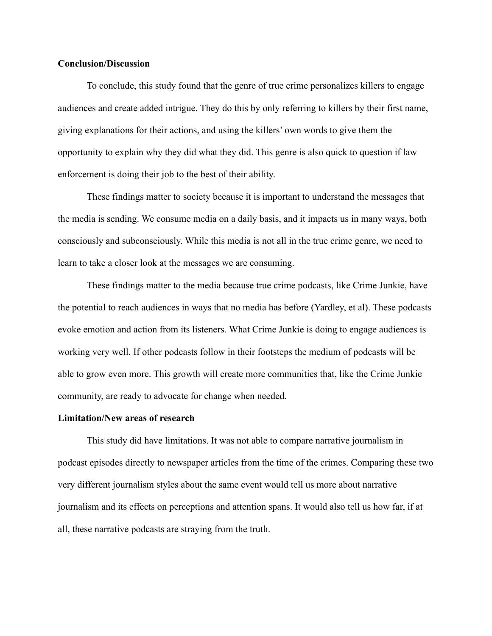#### **Conclusion/Discussion**

To conclude, this study found that the genre of true crime personalizes killers to engage audiences and create added intrigue. They do this by only referring to killers by their first name, giving explanations for their actions, and using the killers' own words to give them the opportunity to explain why they did what they did. This genre is also quick to question if law enforcement is doing their job to the best of their ability.

These findings matter to society because it is important to understand the messages that the media is sending. We consume media on a daily basis, and it impacts us in many ways, both consciously and subconsciously. While this media is not all in the true crime genre, we need to learn to take a closer look at the messages we are consuming.

These findings matter to the media because true crime podcasts, like Crime Junkie, have the potential to reach audiences in ways that no media has before (Yardley, et al). These podcasts evoke emotion and action from its listeners. What Crime Junkie is doing to engage audiences is working very well. If other podcasts follow in their footsteps the medium of podcasts will be able to grow even more. This growth will create more communities that, like the Crime Junkie community, are ready to advocate for change when needed.

#### **Limitation/New areas of research**

This study did have limitations. It was not able to compare narrative journalism in podcast episodes directly to newspaper articles from the time of the crimes. Comparing these two very different journalism styles about the same event would tell us more about narrative journalism and its effects on perceptions and attention spans. It would also tell us how far, if at all, these narrative podcasts are straying from the truth.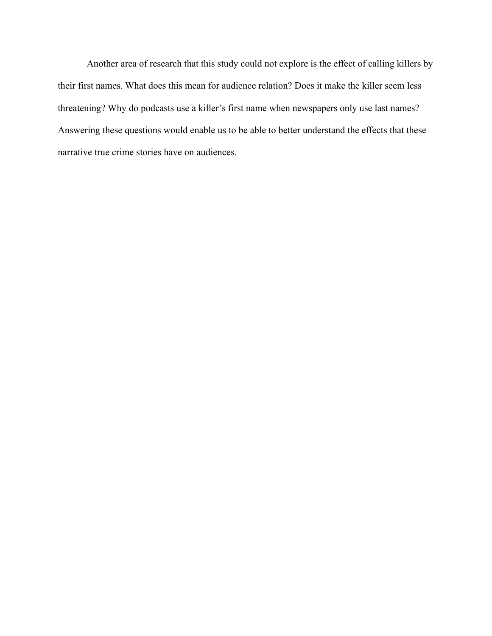Another area of research that this study could not explore is the effect of calling killers by their first names. What does this mean for audience relation? Does it make the killer seem less threatening? Why do podcasts use a killer's first name when newspapers only use last names? Answering these questions would enable us to be able to better understand the effects that these narrative true crime stories have on audiences.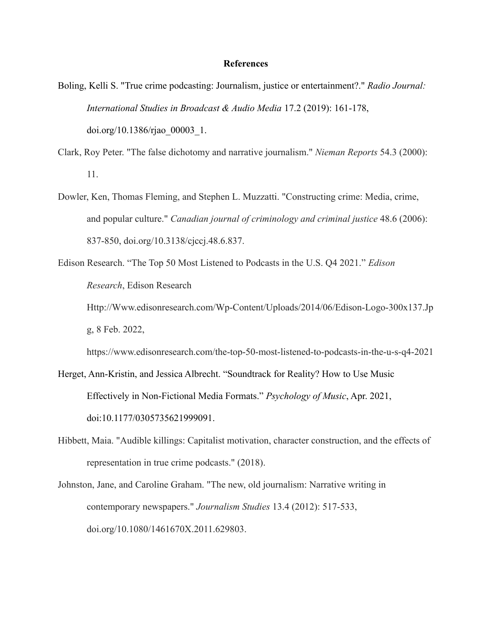#### **References**

- Boling, Kelli S. "True crime podcasting: Journalism, justice or entertainment?." *Radio Journal: International Studies in Broadcast & Audio Media* 17.2 (2019): 161-178, [doi.org/10.1386/rjao\\_00003\\_1](https://doi.org/10.1386/rjao_00003_1).
- Clark, Roy Peter. "The false dichotomy and narrative journalism." *Nieman Reports* 54.3 (2000): 11.
- Dowler, Ken, Thomas Fleming, and Stephen L. Muzzatti. "Constructing crime: Media, crime, and popular culture." *Canadian journal of criminology and criminal justice* 48.6 (2006): 837-850, doi.org/10.3138/cjccj.48.6.837.
- Edison Research. "The Top 50 Most Listened to Podcasts in the U.S. Q4 2021." *Edison Research*, Edison Research Http://Www.edisonresearch.com/Wp-Content/Uploads/2014/06/Edison-Logo-300x137.Jp g, 8 Feb. 2022,

https://www.edisonresearch.com/the-top-50-most-listened-to-podcasts-in-the-u-s-q4-2021

- Herget, Ann-Kristin, and Jessica Albrecht. "Soundtrack for Reality? How to Use Music Effectively in Non-Fictional Media Formats." *Psychology of Music*, Apr. 2021, doi:[10.1177/0305735621999091.](https://doi.org/10.1177/0305735621999091)
- Hibbett, Maia. "Audible killings: Capitalist motivation, character construction, and the effects of representation in true crime podcasts." (2018).
- Johnston, Jane, and Caroline Graham. "The new, old journalism: Narrative writing in contemporary newspapers." *Journalism Studies* 13.4 (2012): 517-533, doi.org/10.1080/1461670X.2011.629803.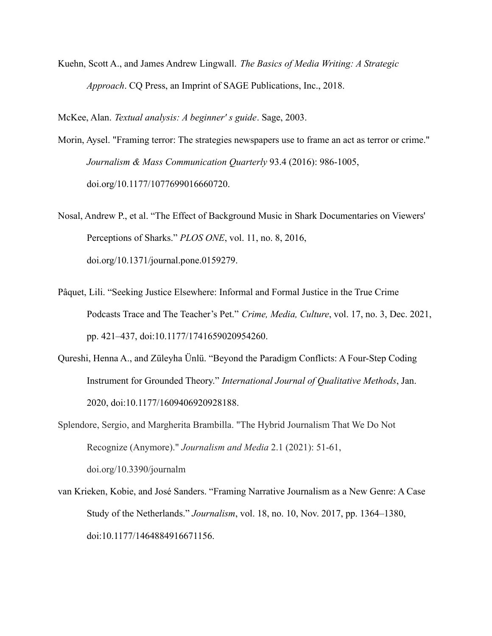Kuehn, Scott A., and James Andrew Lingwall. *The Basics of Media Writing: A Strategic Approach*. CQ Press, an Imprint of SAGE Publications, Inc., 2018.

McKee, Alan. *Textual analysis: A beginner′ s guide*. Sage, 2003.

- Morin, Aysel. "Framing terror: The strategies newspapers use to frame an act as terror or crime." *Journalism & Mass Communication Quarterly* 93.4 (2016): 986-1005, [doi.org/10.1177/1077699016660720](https://doi.org/10.1177%2F1077699016660720).
- Nosal, Andrew P., et al. "The Effect of Background Music in Shark Documentaries on Viewers' Perceptions of Sharks." *PLOS ONE*, vol. 11, no. 8, 2016, doi.org/10.1371/journal.pone.0159279.
- Pâquet, Lili. "Seeking Justice Elsewhere: Informal and Formal Justice in the True Crime Podcasts Trace and The Teacher's Pet." *Crime, Media, Culture*, vol. 17, no. 3, Dec. 2021, pp. 421–437, doi:[10.1177/1741659020954260.](https://doi.org/10.1177/1741659020954260)
- Qureshi, Henna A., and Züleyha Ünlü. "Beyond the Paradigm Conflicts: A Four-Step Coding Instrument for Grounded Theory." *International Journal of Qualitative Methods*, Jan. 2020, doi:[10.1177/1609406920928188.](https://doi.org/10.1177/1609406920928188)
- Splendore, Sergio, and Margherita Brambilla. "The Hybrid Journalism That We Do Not Recognize (Anymore)." *Journalism and Media* 2.1 (2021): 51-61, doi.org/10.3390/journalm
- van Krieken, Kobie, and José Sanders. "Framing Narrative Journalism as a New Genre: A Case Study of the Netherlands." *Journalism*, vol. 18, no. 10, Nov. 2017, pp. 1364–1380, doi:[10.1177/1464884916671156](https://doi.org/10.1177/1464884916671156).